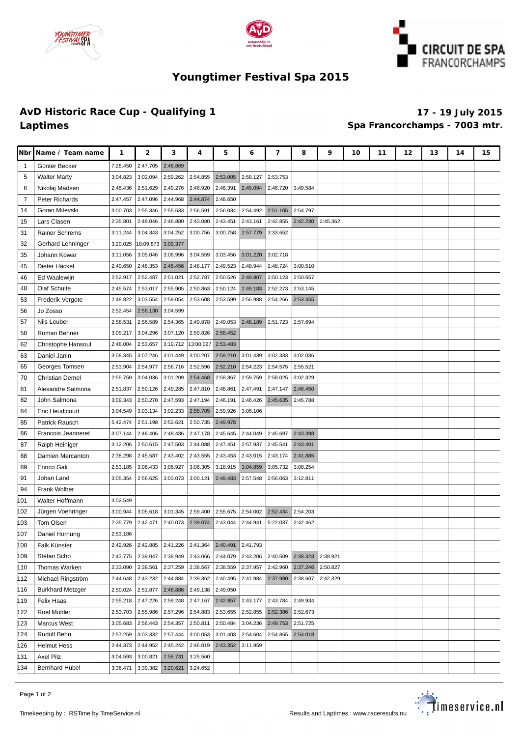





# **Youngtimer Festival Spa 2015**

### **AvD Historic Race Cup - Qualifying 1 17 - 19 July 2015 Laptimes Spa Francorchamps - 7003 mtr.**

| Nbr            | Name / Team name        | 1        | 2         | з        | 4         | 5        | 6        | 7        | 8        | 9        | 10 | 11 | 12 | 13 | 14 | 15 |
|----------------|-------------------------|----------|-----------|----------|-----------|----------|----------|----------|----------|----------|----|----|----|----|----|----|
| -1             | Günter Becker           | 7:28.450 | 2:47.705  | 2:46.869 |           |          |          |          |          |          |    |    |    |    |    |    |
| 5              | <b>Walter Marty</b>     | 3:04.823 | 3:02.094  | 2:59.262 | 2:54.855  | 2:53.005 | 2:58.127 | 2:53.753 |          |          |    |    |    |    |    |    |
| 6              | Nikolaj Madsen          | 2:46.436 | 2:51.629  | 2:49.276 | 2:46.920  | 2:46.391 | 2:45.094 | 2:46.720 | 3:49.584 |          |    |    |    |    |    |    |
| $\overline{7}$ | Peter Richards          | 2:47.457 | 2:47.096  | 2:44.968 | 2:44.874  | 2:48.650 |          |          |          |          |    |    |    |    |    |    |
| 14             | Goran Mitevski          | 3:00.703 | 2:55.346  | 2:55.533 | 2:56.591  | 2:56.034 | 2:54.492 | 2:51.105 | 2:54.797 |          |    |    |    |    |    |    |
| 15             | Lars Clasen             | 2:35.801 | 2:48.046  | 2:46.880 | 2:43.080  | 2:43.451 | 2:43.161 | 2:42.855 | 2:42.230 | 2:45.362 |    |    |    |    |    |    |
| 31             | Rainer Schrems          | 3:11.244 | 3:04.343  | 3:04.252 | 3:00.756  | 3:00.758 | 2:57.779 | 3:33.652 |          |          |    |    |    |    |    |    |
| 32             | Gerhard Lehninger       | 3:20.025 | 18:09.873 | 3:09.377 |           |          |          |          |          |          |    |    |    |    |    |    |
| 35             | Johann Kowar            | 3:11.056 | 3:05.046  | 3:06.996 | 3:04.559  | 3:03.456 | 3:01.220 | 3:02.718 |          |          |    |    |    |    |    |    |
| 45             | Dieter Häckel           | 2:40.650 | 2:48.353  | 2:46.456 | 2:48.177  | 2:49.523 | 2:48.944 | 2:48.724 | 3:00.510 |          |    |    |    |    |    |    |
| 46             | Ed Waalewijn            | 2:52.917 | 2:52.487  | 2:51.021 | 2:52.787  | 2:50.526 | 2:49.807 | 2:50.123 | 2:50.657 |          |    |    |    |    |    |    |
| 48             | Olaf Schulte            | 2:45.574 | 2:53.017  | 2:55.905 | 2:50.863  | 2:50.124 | 2:49.183 | 2:52.273 | 2:53.145 |          |    |    |    |    |    |    |
| 53             | Frederik Vergote        | 2:48.822 | 3:03.554  | 2:59.054 | 2:53.608  | 2:53.599 | 2:56.988 | 2:54.266 | 2:53.455 |          |    |    |    |    |    |    |
| 56             | Jo Zosso                | 2:52.454 | 2:56.130  | 3:04.599 |           |          |          |          |          |          |    |    |    |    |    |    |
| 57             | Nils Leuber             | 2:58.531 | 2:56.589  | 2:54.365 | 2:49.878  | 2:49.053 | 2:48.189 | 2:51.723 | 2:57.694 |          |    |    |    |    |    |    |
| 58             | Roman Benner            | 3:09.217 | 3:04.296  | 3:07.120 | 2:59.826  | 2:58.452 |          |          |          |          |    |    |    |    |    |    |
| 62             | Christophe Hansoul      | 2:48.004 | 2:53.657  | 3:19.712 | 13:00.027 | 2:53.403 |          |          |          |          |    |    |    |    |    |    |
| 63             | Daniel Janin            | 3:08.345 | 3:07.246  | 3:01.449 | 3:00.207  | 2:59.210 | 3:01.439 | 3:02.333 | 3:02.036 |          |    |    |    |    |    |    |
| 65             | Georges Tomsen          | 2:53.904 | 2:54.977  | 2:56.716 | 2:52.596  | 2:52.210 | 2:54.223 | 2:54.575 | 2:55.521 |          |    |    |    |    |    |    |
| 70             | <b>Christian Demel</b>  | 2:55.759 | 3:04.036  | 3:01.209 | 2:54.468  | 2:58.367 | 2:59.759 | 2:58.025 | 3:02.329 |          |    |    |    |    |    |    |
| 81             | Alexandre Salmona       | 2:51.837 | 2:50.126  | 2:49.285 | 2:47.810  | 2:48.861 | 2:47.491 | 2:47.147 | 2:46.450 |          |    |    |    |    |    |    |
| 82             | John Salmona            | 3:09.343 | 2:50.270  | 2:47.593 | 2:47.194  | 2:46.191 | 2:46.426 | 2:45.635 | 2:45.788 |          |    |    |    |    |    |    |
| 84             | Eric Heudicourt         | 3:04.549 | 3:03.134  | 3:02.233 | 2:58.705  | 2:59.926 | 3:06.106 |          |          |          |    |    |    |    |    |    |
| 85             | Patrick Rausch          | 5:42.474 | 2:51.198  | 2:52.621 | 2:50.735  | 2:49.978 |          |          |          |          |    |    |    |    |    |    |
| 86             | Francois Jeanneret      | 3:07.144 | 2:48.406  | 2:48.486 | 2:47.178  | 2:45.645 | 2:44.049 | 2:45.697 | 2:43.398 |          |    |    |    |    |    |    |
| 87             | Ralph Heiniger          | 3:12.206 | 2:50.615  | 2:47.503 | 2:44.088  | 2:47.451 | 2:57.937 | 2:45.541 | 2:43.401 |          |    |    |    |    |    |    |
| 88             | Damien Mercanton        | 2:38.298 | 2:45.587  | 2:43.402 | 2:43.555  | 2:43.453 | 2:43.015 | 2:43.174 | 2:41.885 |          |    |    |    |    |    |    |
| 89             | Enrico Gali             | 2:53.185 | 3:06.433  | 3:06.927 | 3:06.305  | 3:18.915 | 3:04.859 | 3:05.732 | 3:08.254 |          |    |    |    |    |    |    |
| 91             | Johan Land              | 3:05.354 | 2:58.625  | 3:03.073 | 3:00.121  | 2:49.483 | 2:57.548 | 2:56.063 | 3:12.811 |          |    |    |    |    |    |    |
| 94             | Frank Wolber            |          |           |          |           |          |          |          |          |          |    |    |    |    |    |    |
| 01             | Walter Hoffmann         | 3:02.549 |           |          |           |          |          |          |          |          |    |    |    |    |    |    |
| 02             | Jürgen Voehringer       | 3:00.944 | 3:05.618  | 3:01.345 | 2:59.400  | 2:55.675 | 2:54.002 | 2:52.434 | 2:54.203 |          |    |    |    |    |    |    |
| 103            | Tom Olsen               | 2:35.779 | 2:42.471  | 2:40.073 | 2:39.074  | 2:43.044 | 2:44.941 | 5:22.037 | 2:42.462 |          |    |    |    |    |    |    |
| 107            | Daniel Hornung          | 2:53.186 |           |          |           |          |          |          |          |          |    |    |    |    |    |    |
| 108            | Falk Künster            | 2:42.926 | 2:42.885  | 2:41.226 | 2:41.364  | 2:40.491 | 2:41.793 |          |          |          |    |    |    |    |    |    |
| 109            | Stefan Scho             | 2:43.775 | 2:39.047  | 2:38.949 | 2:43.066  | 2:44.079 | 2:43.206 | 2:40.509 | 2:38.323 | 2:38.921 |    |    |    |    |    |    |
| 110            | Thomas Warken           | 2:33.090 | 2:38.561  | 2:37.259 | 2:38.567  | 2:38.559 | 2:37.957 | 2:42.960 | 2:37.246 | 2:50.827 |    |    |    |    |    |    |
| 112            | Michael Ringström       | 2:44.648 | 2:43.232  | 2:44.884 | 2:39.362  | 2:40.495 | 2:41.984 | 2:37.980 | 2:38.607 | 2:42.329 |    |    |    |    |    |    |
| 116            | <b>Burkhard Metzger</b> | 2:50.024 | 2:51.877  | 2:48.886 | 2:49.138  | 2:49.050 |          |          |          |          |    |    |    |    |    |    |
| 119            | Felix Haas              | 2:55.218 | 2:47.226  | 2:59.248 | 2:47.167  | 2:42.857 | 2:43.177 | 2:43.784 | 2:49.934 |          |    |    |    |    |    |    |
| 122            | Roel Mulder             | 2:53.703 | 2:55.986  | 2:57.296 | 2:54.883  | 2:53.655 | 2:52.855 | 2:52.386 | 2:52.673 |          |    |    |    |    |    |    |
| 123            | Marcus West             | 3:05.683 | 2:56.443  | 2:54.357 | 2:50.811  | 2:50.484 | 3:04.236 | 2:49.753 | 2:51.725 |          |    |    |    |    |    |    |
| 124            | Rudolf Behn             | 2:57.259 | 3:03.332  | 2:57.444 | 3:00.053  | 3:01.403 | 2:54.604 | 2:54.865 | 2:54.018 |          |    |    |    |    |    |    |
| 126            | <b>Helmut Hess</b>      | 2:44.373 | 2:44.952  | 2:45.242 | 2:46.019  | 2:43.352 | 3:11.959 |          |          |          |    |    |    |    |    |    |
| 131            | <b>Axel Pilz</b>        | 3:04.593 | 3:00.821  | 2:58.731 | 3:25.560  |          |          |          |          |          |    |    |    |    |    |    |
| 134            | Bernhard Hübel          | 3:36.471 | 3:39.382  | 3:20.621 | 3:24.652  |          |          |          |          |          |    |    |    |    |    |    |